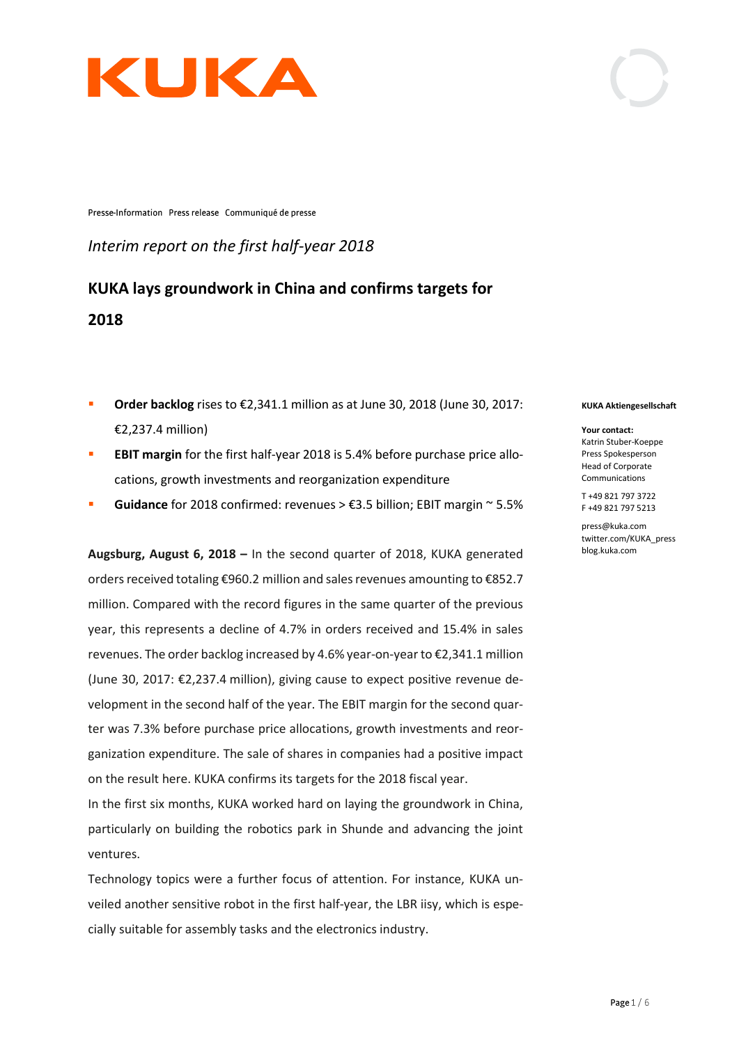

Presse-Information Press release Communiqué de presse

*Interim report on the first half-year 2018*

**KUKA lays groundwork in China and confirms targets for 2018**

- Order backlog rises to €2,341.1 million as at June 30, 2018 (June 30, 2017: €2,237.4 million)
- **EBIT margin** for the first half-year 2018 is 5.4% before purchase price allocations, growth investments and reorganization expenditure
- **Guidance** for 2018 confirmed: revenues > €3.5 billion; EBIT margin ~ 5.5%

**Augsburg, August 6, 2018 –** In the second quarter of 2018, KUKA generated orders received totaling €960.2 million and sales revenues amounting to €852.7 million. Compared with the record figures in the same quarter of the previous year, this represents a decline of 4.7% in orders received and 15.4% in sales revenues. The order backlog increased by 4.6% year-on-year to €2,341.1 million (June 30, 2017: €2,237.4 million), giving cause to expect positive revenue development in the second half of the year. The EBIT margin for the second quarter was 7.3% before purchase price allocations, growth investments and reorganization expenditure. The sale of shares in companies had a positive impact on the result here. KUKA confirms its targets for the 2018 fiscal year.

In the first six months, KUKA worked hard on laying the groundwork in China, particularly on building the robotics park in Shunde and advancing the joint ventures.

Technology topics were a further focus of attention. For instance, KUKA unveiled another sensitive robot in the first half-year, the LBR iisy, which is especially suitable for assembly tasks and the electronics industry.

#### **KUKA Aktiengesellschaft**

**Your contact:** Katrin Stuber-Koeppe Press Spokesperson Head of Corporate Communications

T +49 821 797 3722 F +49 821 797 5213

press@kuka.com twitter.com/KUKA\_press blog.kuka.com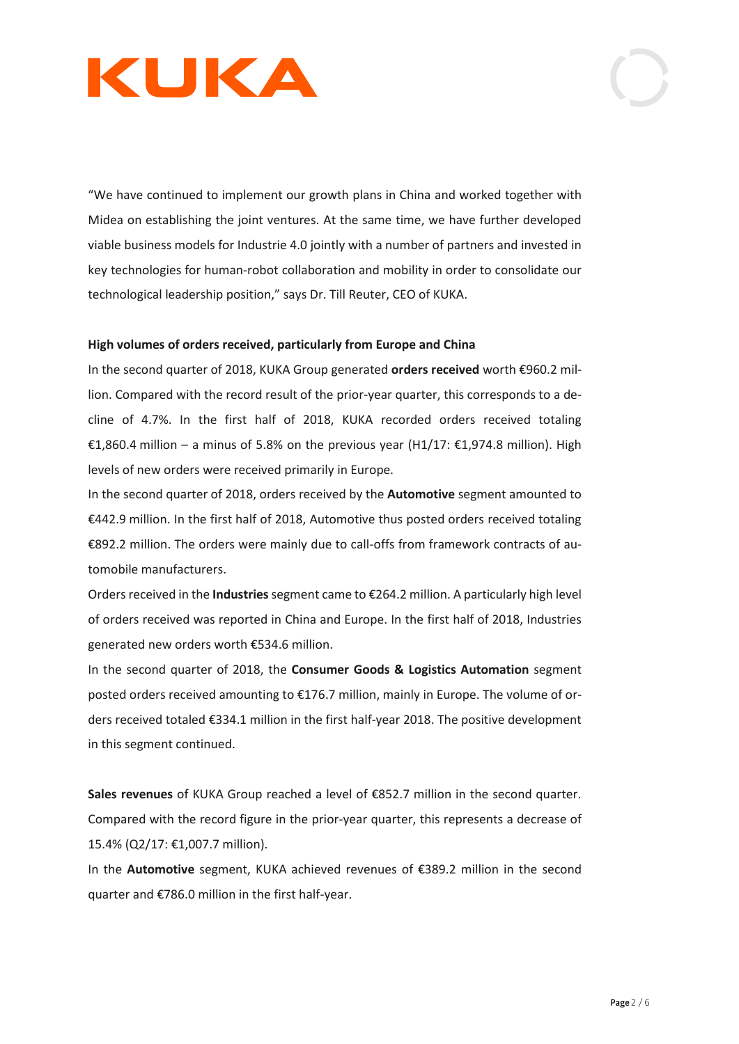

"We have continued to implement our growth plans in China and worked together with Midea on establishing the joint ventures. At the same time, we have further developed viable business models for Industrie 4.0 jointly with a number of partners and invested in key technologies for human-robot collaboration and mobility in order to consolidate our technological leadership position," says Dr. Till Reuter, CEO of KUKA.

## **High volumes of orders received, particularly from Europe and China**

In the second quarter of 2018, KUKA Group generated **orders received** worth €960.2 million. Compared with the record result of the prior-year quarter, this corresponds to a decline of 4.7%. In the first half of 2018, KUKA recorded orders received totaling €1,860.4 million – a minus of 5.8% on the previous year (H1/17: €1,974.8 million). High levels of new orders were received primarily in Europe.

In the second quarter of 2018, orders received by the **Automotive** segment amounted to €442.9 million. In the first half of 2018, Automotive thus posted orders received totaling €892.2 million. The orders were mainly due to call-offs from framework contracts of automobile manufacturers.

Orders received in the **Industries**segment came to €264.2 million. A particularly high level of orders received was reported in China and Europe. In the first half of 2018, Industries generated new orders worth €534.6 million.

In the second quarter of 2018, the **Consumer Goods & Logistics Automation** segment posted orders received amounting to €176.7 million, mainly in Europe. The volume of orders received totaled €334.1 million in the first half-year 2018. The positive development in this segment continued.

**Sales revenues** of KUKA Group reached a level of €852.7 million in the second quarter. Compared with the record figure in the prior-year quarter, this represents a decrease of 15.4% (Q2/17: €1,007.7 million).

In the **Automotive** segment, KUKA achieved revenues of €389.2 million in the second quarter and €786.0 million in the first half-year.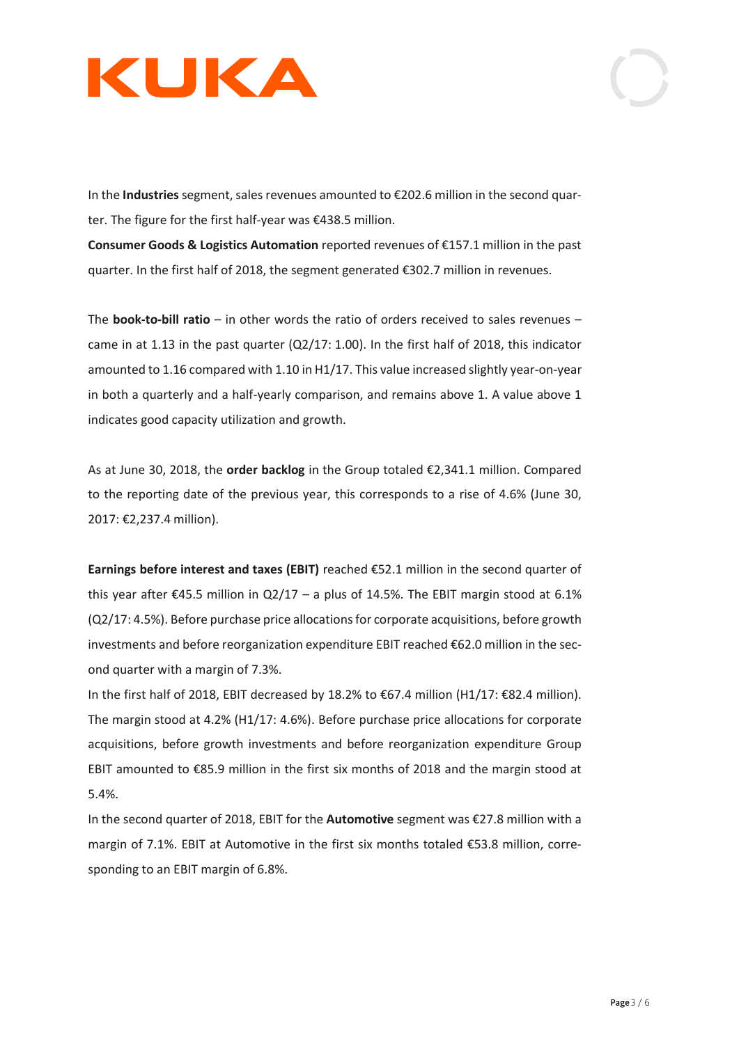

In the **Industries** segment, sales revenues amounted to €202.6 million in the second quarter. The figure for the first half-year was €438.5 million.

**Consumer Goods & Logistics Automation** reported revenues of €157.1 million in the past quarter. In the first half of 2018, the segment generated €302.7 million in revenues.

The **book-to-bill ratio** – in other words the ratio of orders received to sales revenues – came in at 1.13 in the past quarter (Q2/17: 1.00). In the first half of 2018, this indicator amounted to 1.16 compared with 1.10 in H1/17. This value increased slightly year-on-year in both a quarterly and a half-yearly comparison, and remains above 1. A value above 1 indicates good capacity utilization and growth.

As at June 30, 2018, the **order backlog** in the Group totaled €2,341.1 million. Compared to the reporting date of the previous year, this corresponds to a rise of 4.6% (June 30, 2017: €2,237.4 million).

**Earnings before interest and taxes (EBIT)** reached €52.1 million in the second quarter of this year after  $\epsilon$ 45.5 million in Q2/17 – a plus of 14.5%. The EBIT margin stood at 6.1% (Q2/17: 4.5%). Before purchase price allocations for corporate acquisitions, before growth investments and before reorganization expenditure EBIT reached €62.0 million in the second quarter with a margin of 7.3%.

In the first half of 2018, EBIT decreased by 18.2% to €67.4 million (H1/17: €82.4 million). The margin stood at 4.2% (H1/17: 4.6%). Before purchase price allocations for corporate acquisitions, before growth investments and before reorganization expenditure Group EBIT amounted to €85.9 million in the first six months of 2018 and the margin stood at 5.4%.

In the second quarter of 2018, EBIT for the **Automotive** segment was €27.8 million with a margin of 7.1%. EBIT at Automotive in the first six months totaled €53.8 million, corresponding to an EBIT margin of 6.8%.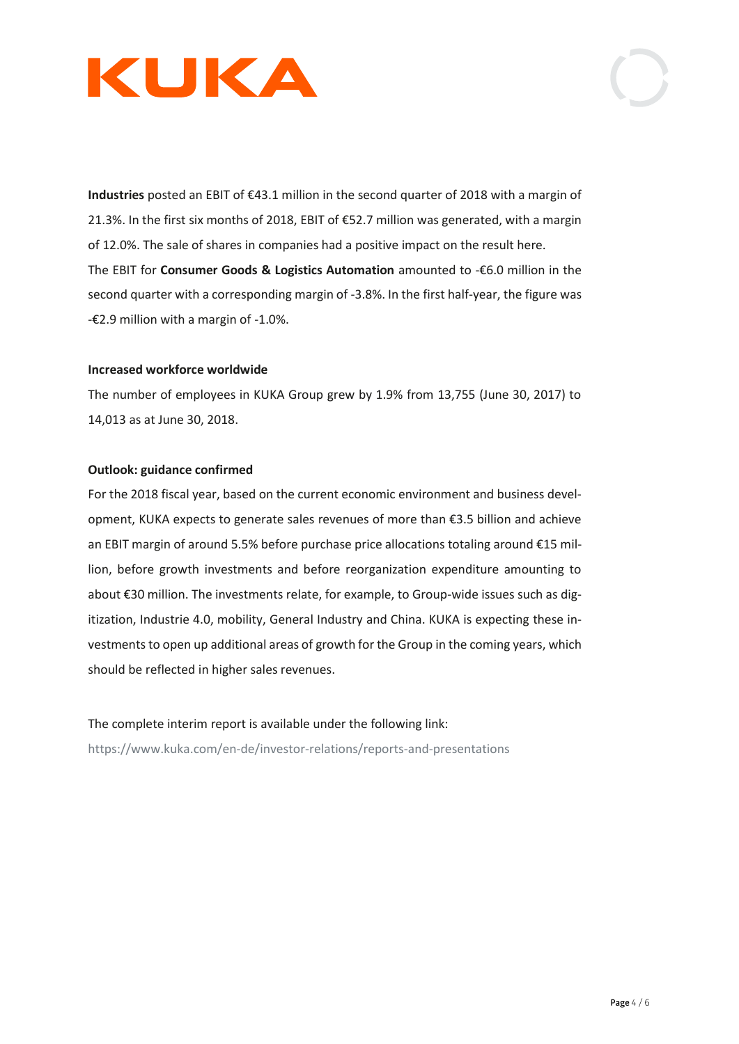

**Industries** posted an EBIT of €43.1 million in the second quarter of 2018 with a margin of 21.3%. In the first six months of 2018, EBIT of €52.7 million was generated, with a margin of 12.0%. The sale of shares in companies had a positive impact on the result here. The EBIT for **Consumer Goods & Logistics Automation** amounted to -€6.0 million in the second quarter with a corresponding margin of -3.8%. In the first half-year, the figure was  $-\epsilon$ 2.9 million with a margin of  $-1.0\%$ .

### **Increased workforce worldwide**

The number of employees in KUKA Group grew by 1.9% from 13,755 (June 30, 2017) to 14,013 as at June 30, 2018.

## **Outlook: guidance confirmed**

For the 2018 fiscal year, based on the current economic environment and business development, KUKA expects to generate sales revenues of more than €3.5 billion and achieve an EBIT margin of around 5.5% before purchase price allocations totaling around €15 million, before growth investments and before reorganization expenditure amounting to about €30 million. The investments relate, for example, to Group-wide issues such as digitization, Industrie 4.0, mobility, General Industry and China. KUKA is expecting these investments to open up additional areas of growth for the Group in the coming years, which should be reflected in higher sales revenues.

The complete interim report is available under the following link: <https://www.kuka.com/en-de/investor-relations/reports-and-presentations>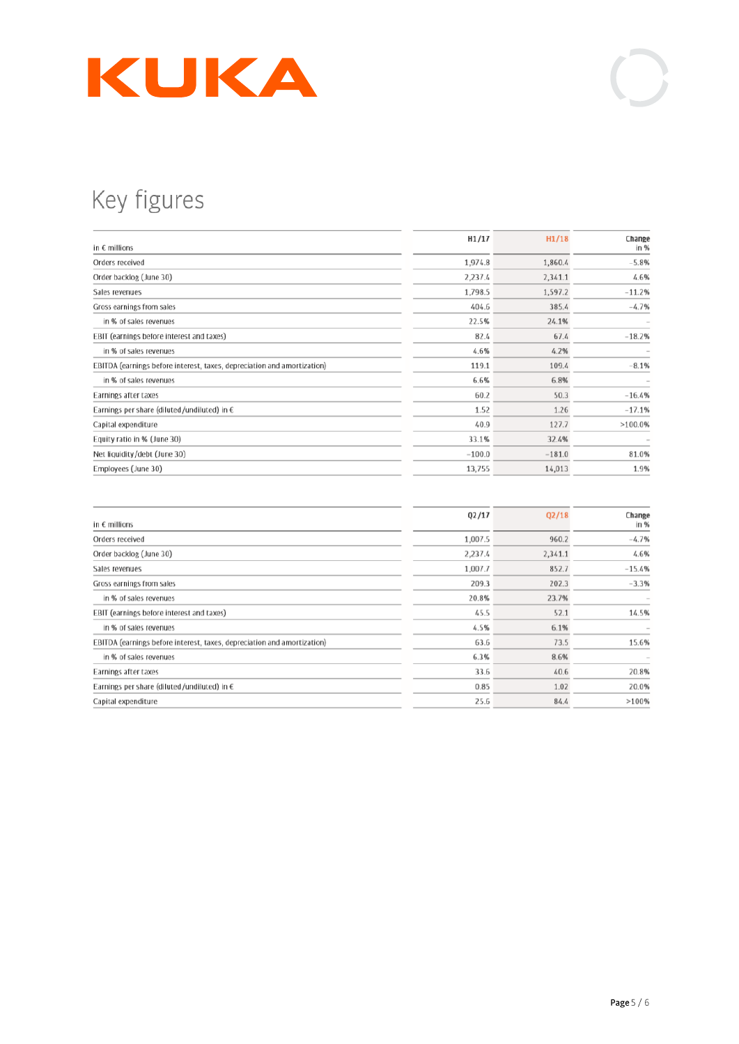

# Key figures

| 1,974.8<br>1,860.4<br>Orders received<br>Order backlog (June 30)<br>2,237.4<br>2,341.1<br>1,798.5<br>1,597.2<br>Sales revenues<br>385.4<br>404.6<br>Gross earnings from sales<br>22.5%<br>24.1%<br>in % of sales revenues<br>EBIT (earnings before interest and taxes)<br>82.4<br>67.4 | Change<br>in % |
|----------------------------------------------------------------------------------------------------------------------------------------------------------------------------------------------------------------------------------------------------------------------------------------|----------------|
|                                                                                                                                                                                                                                                                                        | $-5.8%$        |
|                                                                                                                                                                                                                                                                                        | 4.6%           |
|                                                                                                                                                                                                                                                                                        | $-11.2%$       |
|                                                                                                                                                                                                                                                                                        | $-4.7%$        |
|                                                                                                                                                                                                                                                                                        |                |
|                                                                                                                                                                                                                                                                                        | $-18.2%$       |
| 4.6%<br>4.2%<br>in % of sales revenues                                                                                                                                                                                                                                                 |                |
| EBITDA (earnings before interest, taxes, depreciation and amortization)<br>119.1<br>109.4                                                                                                                                                                                              | $-8.1%$        |
| 6.6%<br>6.8%<br>in % of sales revenues                                                                                                                                                                                                                                                 |                |
| 60.2<br>50.3<br>Earnings after taxes                                                                                                                                                                                                                                                   | $-16.4%$       |
| 1.52<br>1.26<br>Earnings per share (diluted/undiluted) in $\epsilon$                                                                                                                                                                                                                   | $-17.1%$       |
| 127.7<br>40.9<br>Capital expenditure                                                                                                                                                                                                                                                   | >100.0%        |
| Equity ratio in % (June 30)<br>33.1%<br>32.4%                                                                                                                                                                                                                                          |                |
| Net liquidity/debt (June 30)<br>$-100.0$<br>$-181.0$                                                                                                                                                                                                                                   | 81.0%          |
| Employees (June 30)<br>13,755<br>14,013                                                                                                                                                                                                                                                | 1.9%           |

| in $\epsilon$ millions                                                  | Q2/17   | Q2/18   | Change<br>in % |
|-------------------------------------------------------------------------|---------|---------|----------------|
| Orders received                                                         | 1,007.5 | 960.2   | $-4.7%$        |
| Order backlog (June 30)                                                 | 2,237.4 | 2,341.1 | 4.6%           |
| Sales revenues                                                          | 1,007.7 | 852.7   | $-15.4%$       |
| Gross earnings from sales                                               | 209.3   | 202.3   | $-3.3%$        |
| in % of sales revenues                                                  | 20.8%   | 23.7%   |                |
| EBIT (earnings before interest and taxes)                               | 45.5    | 52.1    | 14.5%          |
| in % of sales revenues                                                  | 4.5%    | 6.1%    |                |
| EBITDA (earnings before interest, taxes, depreciation and amortization) | 63.6    | 73.5    | 15.6%          |
| in % of sales revenues                                                  | 6.3%    | 8.6%    |                |
| Earnings after taxes                                                    | 33.6    | 40.6    | 20.8%          |
| Earnings per share (diluted/undiluted) in $\epsilon$                    | 0.85    | 1.02    | 20.0%          |
| Capital expenditure                                                     | 25.6    | 84.4    | >100%          |